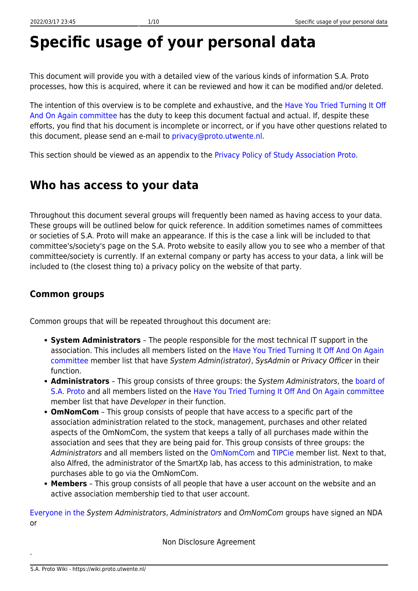# **Specific usage of your personal data**

This document will provide you with a detailed view of the various kinds of information S.A. Proto processes, how this is acquired, where it can be reviewed and how it can be modified and/or deleted.

The intention of this overview is to be complete and exhaustive, and the [Have You Tried Turning It Off](https://www.proto.utwente.nl/committee/haveyoutriedturningitoffandonagain) [And On Again committee](https://www.proto.utwente.nl/committee/haveyoutriedturningitoffandonagain) has the duty to keep this document factual and actual. If, despite these efforts, you find that his document is incomplete or incorrect, or if you have other questions related to this document, please send an e-mail to [privacy@proto.utwente.nl](mailto:privacy@proto.utwente.nl).

This section should be viewed as an appendix to the [Privacy Policy of Study Association Proto.](https://wiki.proto.utwente.nl/ict/privacy/start)

### **Who has access to your data**

Throughout this document several groups will frequently been named as having access to your data. These groups will be outlined below for quick reference. In addition sometimes names of committees or societies of S.A. Proto will make an appearance. If this is the case a link will be included to that committee's/society's page on the S.A. Proto website to easily allow you to see who a member of that committee/society is currently. If an external company or party has access to your data, a link will be included to (the closest thing to) a privacy policy on the website of that party.

#### **Common groups**

Common groups that will be repeated throughout this document are:

- **System Administrators** The people responsible for the most technical IT support in the association. This includes all members listed on the [Have You Tried Turning It Off And On Again](https://www.proto.utwente.nl/committee/haveyoutriedturningitoffandonagain) [committee](https://www.proto.utwente.nl/committee/haveyoutriedturningitoffandonagain) member list that have System Admin(istrator), SysAdmin or Privacy Officer in their function.
- **Administrators** This group consists of three groups: the System Administrators, the [board of](https://www.proto.utwente.nl/page/board) [S.A. Proto](https://www.proto.utwente.nl/page/board) and all members listed on the [Have You Tried Turning It Off And On Again committee](https://www.proto.utwente.nl/committee/819) member list that have Developer in their function.
- **OmNomCom** This group consists of people that have access to a specific part of the association administration related to the stock, management, purchases and other related aspects of the OmNomCom, the system that keeps a tally of all purchases made within the association and sees that they are being paid for. This group consists of three groups: the Administrators and all members listed on the [OmNomCom](https://www.proto.utwente.nl/committee/26) and [TIPCie](https://www.proto.utwente.nl/committee/tipcie) member list. Next to that, also Alfred, the administrator of the SmartXp lab, has access to this administration, to make purchases able to go via the OmNomCom.
- **Members** This group consists of all people that have a user account on the website and an active association membership tied to that user account.

[Everyone in the](https://wiki.proto.utwente.nl/_media/ict/privacy/nda.pdf) System Administrators, Administrators and OmNomCom groups have signed an NDA or

Non Disclosure Agreement

.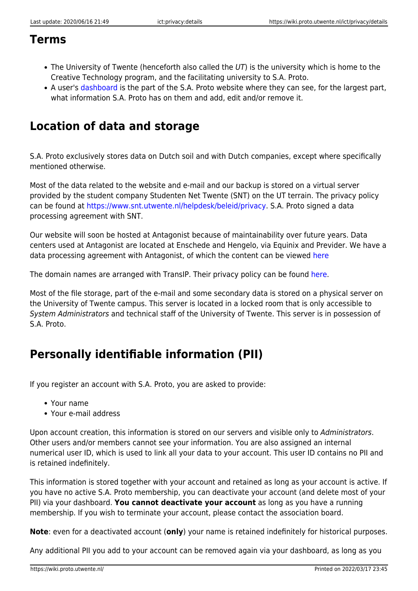### **Terms**

- The University of Twente (henceforth also called the  $UT$ ) is the university which is home to the Creative Technology program, and the facilitating university to S.A. Proto.
- A user's [dashboard](https://www.proto.utwente.nl/user/dashboard) is the part of the S.A. Proto website where they can see, for the largest part, what information S.A. Proto has on them and add, edit and/or remove it.

## **Location of data and storage**

S.A. Proto exclusively stores data on Dutch soil and with Dutch companies, except where specifically mentioned otherwise.

Most of the data related to the website and e-mail and our backup is stored on a virtual server provided by the student company Studenten Net Twente (SNT) on the UT terrain. The privacy policy can be found at [https://www.snt.utwente.nl/helpdesk/beleid/privacy.](https://www.snt.utwente.nl/helpdesk/beleid/privacy) S.A. Proto signed a data processing agreement with SNT.

Our website will soon be hosted at Antagonist because of maintainability over future years. Data centers used at Antagonist are located at Enschede and Hengelo, via Equinix and Previder. We have a data processing agreement with Antagonist, of which the content can be viewed [here](https://www.antagonist.nl/downloads/algemene-voorwaarden.pdf)

The domain names are arranged with TransIP. Their privacy policy can be found [here.](https://www.transip.nl/legal-and-security/privacy-policy/)

Most of the file storage, part of the e-mail and some secondary data is stored on a physical server on the University of Twente campus. This server is located in a locked room that is only accessible to System Administrators and technical staff of the University of Twente. This server is in possession of S.A. Proto.

# **Personally identifiable information (PII)**

If you register an account with S.A. Proto, you are asked to provide:

- Your name
- Your e-mail address

Upon account creation, this information is stored on our servers and visible only to Administrators. Other users and/or members cannot see your information. You are also assigned an internal numerical user ID, which is used to link all your data to your account. This user ID contains no PII and is retained indefinitely.

This information is stored together with your account and retained as long as your account is active. If you have no active S.A. Proto membership, you can deactivate your account (and delete most of your PII) via your dashboard. **You cannot deactivate your account** as long as you have a running membership. If you wish to terminate your account, please contact the association board.

**Note**: even for a deactivated account (**only**) your name is retained indefinitely for historical purposes.

Any additional PII you add to your account can be removed again via your dashboard, as long as you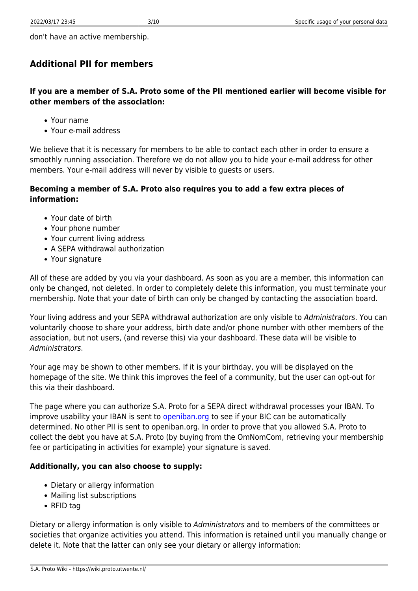don't have an active membership.

#### **Additional PII for members**

**If you are a member of S.A. Proto some of the PII mentioned earlier will become visible for other members of the association:**

- Your name
- Your e-mail address

We believe that it is necessary for members to be able to contact each other in order to ensure a smoothly running association. Therefore we do not allow you to hide your e-mail address for other members. Your e-mail address will never by visible to guests or users.

#### **Becoming a member of S.A. Proto also requires you to add a few extra pieces of information:**

- Your date of birth
- Your phone number
- Your current living address
- A SEPA withdrawal authorization
- Your signature

All of these are added by you via your dashboard. As soon as you are a member, this information can only be changed, not deleted. In order to completely delete this information, you must terminate your membership. Note that your date of birth can only be changed by contacting the association board.

Your living address and your SEPA withdrawal authorization are only visible to Administrators. You can voluntarily choose to share your address, birth date and/or phone number with other members of the association, but not users, (and reverse this) via your dashboard. These data will be visible to Administrators.

Your age may be shown to other members. If it is your birthday, you will be displayed on the homepage of the site. We think this improves the feel of a community, but the user can opt-out for this via their dashboard.

The page where you can authorize S.A. Proto for a SEPA direct withdrawal processes your IBAN. To improve usability your IBAN is sent to [openiban.org](https://openiban.org) to see if your BIC can be automatically determined. No other PII is sent to openiban.org. In order to prove that you allowed S.A. Proto to collect the debt you have at S.A. Proto (by buying from the OmNomCom, retrieving your membership fee or participating in activities for example) your signature is saved.

#### **Additionally, you can also choose to supply:**

- Dietary or allergy information
- Mailing list subscriptions
- RFID tag

Dietary or allergy information is only visible to Administrators and to members of the committees or societies that organize activities you attend. This information is retained until you manually change or delete it. Note that the latter can only see your dietary or allergy information: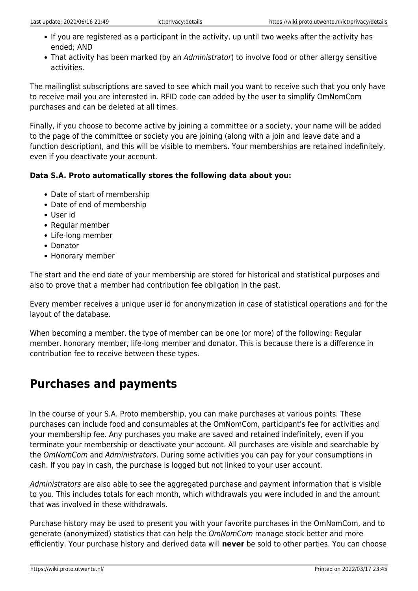- If you are registered as a participant in the activity, up until two weeks after the activity has ended; AND
- That activity has been marked (by an Administrator) to involve food or other allergy sensitive activities.

The mailinglist subscriptions are saved to see which mail you want to receive such that you only have to receive mail you are interested in. RFID code can added by the user to simplify OmNomCom purchases and can be deleted at all times.

Finally, if you choose to become active by joining a committee or a society, your name will be added to the page of the committee or society you are joining (along with a join and leave date and a function description), and this will be visible to members. Your memberships are retained indefinitely, even if you deactivate your account.

#### **Data S.A. Proto automatically stores the following data about you:**

- Date of start of membership
- Date of end of membership
- User id
- Regular member
- Life-long member
- Donator
- Honorary member

The start and the end date of your membership are stored for historical and statistical purposes and also to prove that a member had contribution fee obligation in the past.

Every member receives a unique user id for anonymization in case of statistical operations and for the layout of the database.

When becoming a member, the type of member can be one (or more) of the following: Regular member, honorary member, life-long member and donator. This is because there is a difference in contribution fee to receive between these types.

### **Purchases and payments**

In the course of your S.A. Proto membership, you can make purchases at various points. These purchases can include food and consumables at the OmNomCom, participant's fee for activities and your membership fee. Any purchases you make are saved and retained indefinitely, even if you terminate your membership or deactivate your account. All purchases are visible and searchable by the OmNomCom and Administrators. During some activities you can pay for your consumptions in cash. If you pay in cash, the purchase is logged but not linked to your user account.

Administrators are also able to see the aggregated purchase and payment information that is visible to you. This includes totals for each month, which withdrawals you were included in and the amount that was involved in these withdrawals.

Purchase history may be used to present you with your favorite purchases in the OmNomCom, and to generate (anonymized) statistics that can help the OmNomCom manage stock better and more efficiently. Your purchase history and derived data will **never** be sold to other parties. You can choose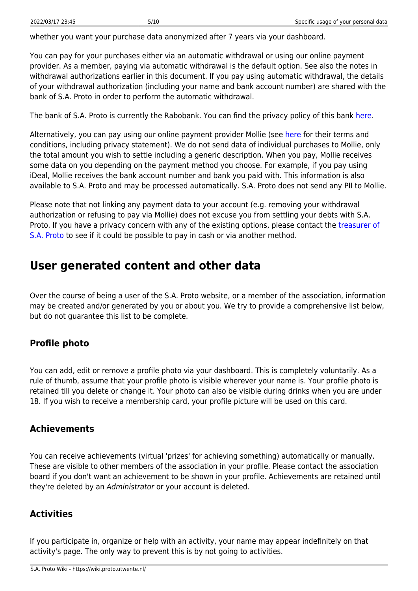whether you want your purchase data anonymized after 7 years via your dashboard.

You can pay for your purchases either via an automatic withdrawal or using our online payment provider. As a member, paying via automatic withdrawal is the default option. See also the notes in withdrawal authorizations earlier in this document. If you pay using automatic withdrawal, the details of your withdrawal authorization (including your name and bank account number) are shared with the bank of S.A. Proto in order to perform the automatic withdrawal.

The bank of S.A. Proto is currently the Rabobank. You can find the privacy policy of this bank [here](https://www.rabobank.nl/bedrijven/privacy/).

Alternatively, you can pay using our online payment provider Mollie (see [here](https://www.mollie.com/en/terms-conditions) for their terms and conditions, including privacy statement). We do not send data of individual purchases to Mollie, only the total amount you wish to settle including a generic description. When you pay, Mollie receives some data on you depending on the payment method you choose. For example, if you pay using iDeal, Mollie receives the bank account number and bank you paid with. This information is also available to S.A. Proto and may be processed automatically. S.A. Proto does not send any PII to Mollie.

Please note that not linking any payment data to your account (e.g. removing your withdrawal authorization or refusing to pay via Mollie) does not excuse you from settling your debts with S.A. Proto. If you have a privacy concern with any of the existing options, please contact the [treasurer of](mailto:treasurer@proto.utwente.nl) [S.A. Proto](mailto:treasurer@proto.utwente.nl) to see if it could be possible to pay in cash or via another method.

### **User generated content and other data**

Over the course of being a user of the S.A. Proto website, or a member of the association, information may be created and/or generated by you or about you. We try to provide a comprehensive list below, but do not guarantee this list to be complete.

#### **Profile photo**

You can add, edit or remove a profile photo via your dashboard. This is completely voluntarily. As a rule of thumb, assume that your profile photo is visible wherever your name is. Your profile photo is retained till you delete or change it. Your photo can also be visible during drinks when you are under 18. If you wish to receive a membership card, your profile picture will be used on this card.

#### **Achievements**

You can receive achievements (virtual 'prizes' for achieving something) automatically or manually. These are visible to other members of the association in your profile. Please contact the association board if you don't want an achievement to be shown in your profile. Achievements are retained until they're deleted by an Administrator or your account is deleted.

#### **Activities**

If you participate in, organize or help with an activity, your name may appear indefinitely on that activity's page. The only way to prevent this is by not going to activities.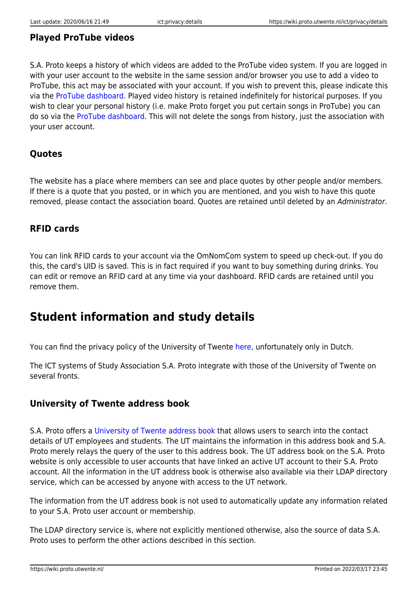#### **Played ProTube videos**

S.A. Proto keeps a history of which videos are added to the ProTube video system. If you are logged in with your user account to the website in the same session and/or browser you use to add a video to ProTube, this act may be associated with your account. If you wish to prevent this, please indicate this via the [ProTube dashboard](https://www.proto.utwente.nl/protube/dashboard). Played video history is retained indefinitely for historical purposes. If you wish to clear your personal history (i.e. make Proto forget you put certain songs in ProTube) you can do so via the [ProTube dashboard.](https://www.proto.utwente.nl/protube/dashboard) This will not delete the songs from history, just the association with your user account.

#### **Quotes**

The website has a place where members can see and place quotes by other people and/or members. If there is a quote that you posted, or in which you are mentioned, and you wish to have this quote removed, please contact the association board. Quotes are retained until deleted by an Administrator.

#### **RFID cards**

You can link RFID cards to your account via the OmNomCom system to speed up check-out. If you do this, the card's UID is saved. This is in fact required if you want to buy something during drinks. You can edit or remove an RFID card at any time via your dashboard. RFID cards are retained until you remove them.

### **Student information and study details**

You can find the privacy policy of the University of Twente [here,](https://www.utwente.nl/sb/beleidsterreinen/universitair-informatiemanagement/informatiebeveiliging/) unfortunately only in Dutch.

The ICT systems of Study Association S.A. Proto integrate with those of the University of Twente on several fronts.

#### **University of Twente address book**

S.A. Proto offers a [University of Twente address book](https://www.proto.utwente.nl/ldap/search) that allows users to search into the contact details of UT employees and students. The UT maintains the information in this address book and S.A. Proto merely relays the query of the user to this address book. The UT address book on the S.A. Proto website is only accessible to user accounts that have linked an active UT account to their S.A. Proto account. All the information in the UT address book is otherwise also available via their LDAP directory service, which can be accessed by anyone with access to the UT network.

The information from the UT address book is not used to automatically update any information related to your S.A. Proto user account or membership.

The LDAP directory service is, where not explicitly mentioned otherwise, also the source of data S.A. Proto uses to perform the other actions described in this section.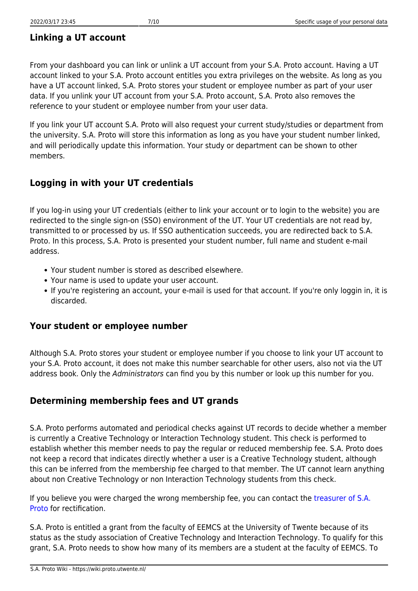#### **Linking a UT account**

From your dashboard you can link or unlink a UT account from your S.A. Proto account. Having a UT account linked to your S.A. Proto account entitles you extra privileges on the website. As long as you have a UT account linked, S.A. Proto stores your student or employee number as part of your user data. If you unlink your UT account from your S.A. Proto account, S.A. Proto also removes the reference to your student or employee number from your user data.

If you link your UT account S.A. Proto will also request your current study/studies or department from the university. S.A. Proto will store this information as long as you have your student number linked, and will periodically update this information. Your study or department can be shown to other members.

#### **Logging in with your UT credentials**

If you log-in using your UT credentials (either to link your account or to login to the website) you are redirected to the single sign-on (SSO) environment of the UT. Your UT credentials are not read by, transmitted to or processed by us. If SSO authentication succeeds, you are redirected back to S.A. Proto. In this process, S.A. Proto is presented your student number, full name and student e-mail address.

- Your student number is stored as described elsewhere.
- Your name is used to update your user account.
- If you're registering an account, your e-mail is used for that account. If you're only loggin in, it is discarded.

#### **Your student or employee number**

Although S.A. Proto stores your student or employee number if you choose to link your UT account to your S.A. Proto account, it does not make this number searchable for other users, also not via the UT address book. Only the Administrators can find you by this number or look up this number for you.

#### **Determining membership fees and UT grands**

S.A. Proto performs automated and periodical checks against UT records to decide whether a member is currently a Creative Technology or Interaction Technology student. This check is performed to establish whether this member needs to pay the regular or reduced membership fee. S.A. Proto does not keep a record that indicates directly whether a user is a Creative Technology student, although this can be inferred from the membership fee charged to that member. The UT cannot learn anything about non Creative Technology or non Interaction Technology students from this check.

If you believe you were charged the wrong membership fee, you can contact the [treasurer of S.A.](mailto:treasurer@proto.utwente.nl) [Proto](mailto:treasurer@proto.utwente.nl) for rectification.

S.A. Proto is entitled a grant from the faculty of EEMCS at the University of Twente because of its status as the study association of Creative Technology and Interaction Technology. To qualify for this grant, S.A. Proto needs to show how many of its members are a student at the faculty of EEMCS. To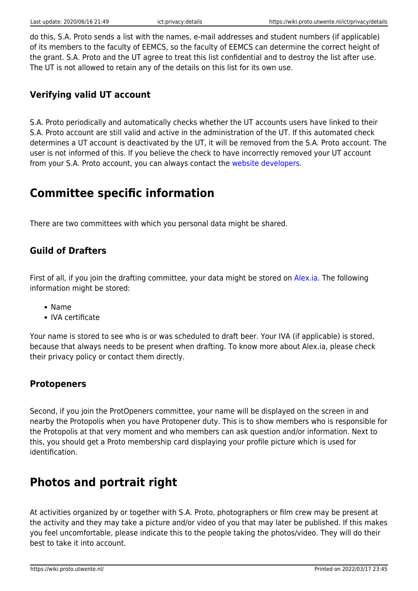do this, S.A. Proto sends a list with the names, e-mail addresses and student numbers (if applicable) of its members to the faculty of EEMCS, so the faculty of EEMCS can determine the correct height of the grant. S.A. Proto and the UT agree to treat this list confidential and to destroy the list after use. The UT is not allowed to retain any of the details on this list for its own use.

#### **Verifying valid UT account**

S.A. Proto periodically and automatically checks whether the UT accounts users have linked to their S.A. Proto account are still valid and active in the administration of the UT. If this automated check determines a UT account is deactivated by the UT, it will be removed from the S.A. Proto account. The user is not informed of this. If you believe the check to have incorrectly removed your UT account from your S.A. Proto account, you can always contact the [website developers.](mailto:haveyoutriedturningitoffandonagain@proto.utwente.nl)

## **Committee specific information**

There are two committees with which you personal data might be shared.

#### **Guild of Drafters**

First of all, if you join the drafting committee, your data might be stored on [Alex.ia.](https://alex.ia.utwente.nl) The following information might be stored:

- Name
- IVA certificate

Your name is stored to see who is or was scheduled to draft beer. Your IVA (if applicable) is stored, because that always needs to be present when drafting. To know more about Alex.ia, please check their privacy policy or contact them directly.

#### **Protopeners**

Second, if you join the ProtOpeners committee, your name will be displayed on the screen in and nearby the Protopolis when you have Protopener duty. This is to show members who is responsible for the Protopolis at that very moment and who members can ask question and/or information. Next to this, you should get a Proto membership card displaying your profile picture which is used for identification.

# **Photos and portrait right**

At activities organized by or together with S.A. Proto, photographers or film crew may be present at the activity and they may take a picture and/or video of you that may later be published. If this makes you feel uncomfortable, please indicate this to the people taking the photos/video. They will do their best to take it into account.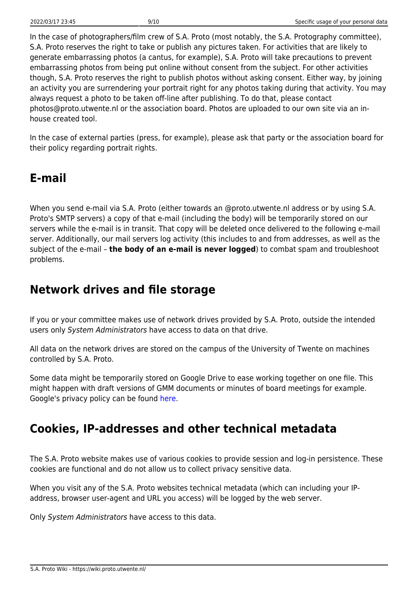In the case of photographers/film crew of S.A. Proto (most notably, the S.A. Protography committee), S.A. Proto reserves the right to take or publish any pictures taken. For activities that are likely to generate embarrassing photos (a cantus, for example), S.A. Proto will take precautions to prevent embarrassing photos from being put online without consent from the subject. For other activities though, S.A. Proto reserves the right to publish photos without asking consent. Either way, by joining an activity you are surrendering your portrait right for any photos taking during that activity. You may always request a photo to be taken off-line after publishing. To do that, please contact photos@proto.utwente.nl or the association board. Photos are uploaded to our own site via an inhouse created tool.

In the case of external parties (press, for example), please ask that party or the association board for their policy regarding portrait rights.

## **E-mail**

When you send e-mail via S.A. Proto (either towards an @proto.utwente.nl address or by using S.A. Proto's SMTP servers) a copy of that e-mail (including the body) will be temporarily stored on our servers while the e-mail is in transit. That copy will be deleted once delivered to the following e-mail server. Additionally, our mail servers log activity (this includes to and from addresses, as well as the subject of the e-mail – **the body of an e-mail is never logged**) to combat spam and troubleshoot problems.

### **Network drives and file storage**

If you or your committee makes use of network drives provided by S.A. Proto, outside the intended users only System Administrators have access to data on that drive.

All data on the network drives are stored on the campus of the University of Twente on machines controlled by S.A. Proto.

Some data might be temporarily stored on Google Drive to ease working together on one file. This might happen with draft versions of GMM documents or minutes of board meetings for example. Google's privacy policy can be found [here.](https://policies.google.com/privacy/)

# **Cookies, IP-addresses and other technical metadata**

The S.A. Proto website makes use of various cookies to provide session and log-in persistence. These cookies are functional and do not allow us to collect privacy sensitive data.

When you visit any of the S.A. Proto websites technical metadata (which can including your IPaddress, browser user-agent and URL you access) will be logged by the web server.

Only System Administrators have access to this data.